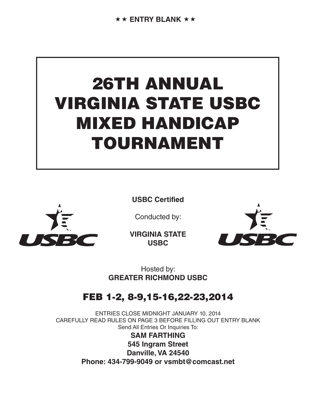# 26TH ANNUAL VIRGINIA STATE USBC MIXED HANDICAP TOURNAMENT



**USBC Certified**

Conducted by:

**VIRGINIA STATE USBC**



Hosted by: **GREATER RICHMOND USBC**

# FEB 1-2, 8-9,15-16,22-23,2014

ENTRIES CLOSE MIDNIGHT JANUARY 10, 2014 CAREFULLY READ RULES ON PAGE 3 BEFORE FILLING OUT ENTRY BLANK Send All Entries Or Inquiries To:

> **SAM FARTHING 545 Ingram Street Danville, VA 24540 Phone: 434-799-9049 or vsmbt@comcast.net**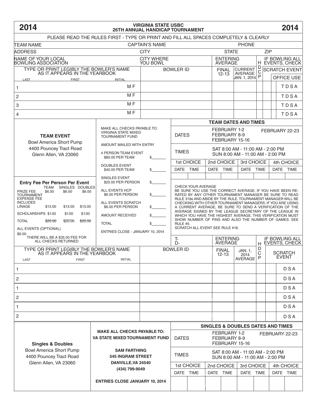# **2014 2014 VIRGINIA STATE USBC 26TH ANNUAL HANDICAP TOURNAMENT**

| PLEASE READ THE RULES FIRST - TYPE OR PRINT AND FILL ALL SPACES COMPLETELY & CLEARLY                                                                                                                                                                                                                    |                                                                                                                                                              |                                                                             |                             |                                                                                                                                                                                                                                                                                                                                                                                                                                                                                                                                                                          |                                                                  |                                                                      |             |                                                    |      |             |             |  |
|---------------------------------------------------------------------------------------------------------------------------------------------------------------------------------------------------------------------------------------------------------------------------------------------------------|--------------------------------------------------------------------------------------------------------------------------------------------------------------|-----------------------------------------------------------------------------|-----------------------------|--------------------------------------------------------------------------------------------------------------------------------------------------------------------------------------------------------------------------------------------------------------------------------------------------------------------------------------------------------------------------------------------------------------------------------------------------------------------------------------------------------------------------------------------------------------------------|------------------------------------------------------------------|----------------------------------------------------------------------|-------------|----------------------------------------------------|------|-------------|-------------|--|
| <b>CAPTAIN'S NAME</b><br><b>TEAM NAME</b><br><b>PHONE</b>                                                                                                                                                                                                                                               |                                                                                                                                                              |                                                                             |                             |                                                                                                                                                                                                                                                                                                                                                                                                                                                                                                                                                                          |                                                                  |                                                                      |             |                                                    |      |             |             |  |
| ADDRESS                                                                                                                                                                                                                                                                                                 | <b>CITY</b>                                                                                                                                                  |                                                                             |                             |                                                                                                                                                                                                                                                                                                                                                                                                                                                                                                                                                                          | <b>ZIP</b><br><b>STATE</b>                                       |                                                                      |             |                                                    |      |             |             |  |
| NAME OF YOUR LOCAL<br><b>BOWLING ASSOCIATION</b>                                                                                                                                                                                                                                                        | <b>CITY WHERE</b><br>YOU BOWL                                                                                                                                |                                                                             |                             |                                                                                                                                                                                                                                                                                                                                                                                                                                                                                                                                                                          | <b>ENTERING</b><br><b>AVERAGE</b>                                |                                                                      |             | IF BOWLING ALL<br>H EVENTS, CHECK                  |      |             |             |  |
| TYPE OR PRINT LEGIBLY THE BOWLER'S NAME                                                                                                                                                                                                                                                                 | <b>BOWLER ID</b>                                                                                                                                             |                                                                             |                             |                                                                                                                                                                                                                                                                                                                                                                                                                                                                                                                                                                          | <b>FINAL</b>                                                     | D<br><b>CURRENT</b><br>$\mathsf C$                                   |             | <b>SCRATCH EVENT</b>                               |      |             |             |  |
| AS IT APPEARS IN THE YEARBOOK<br>LAST<br><b>FIRST</b>                                                                                                                                                                                                                                                   |                                                                                                                                                              |                                                                             |                             |                                                                                                                                                                                                                                                                                                                                                                                                                                                                                                                                                                          | $12 - 13$                                                        | AVERAGE<br><b>JAN. 1, 2014</b> P                                     |             |                                                    |      | OFFICE USE  |             |  |
| 1                                                                                                                                                                                                                                                                                                       |                                                                                                                                                              |                                                                             |                             |                                                                                                                                                                                                                                                                                                                                                                                                                                                                                                                                                                          |                                                                  |                                                                      |             |                                                    |      | TDSA        |             |  |
| $\overline{c}$                                                                                                                                                                                                                                                                                          |                                                                                                                                                              |                                                                             |                             |                                                                                                                                                                                                                                                                                                                                                                                                                                                                                                                                                                          |                                                                  |                                                                      |             |                                                    | TDSA |             |             |  |
| 3                                                                                                                                                                                                                                                                                                       |                                                                                                                                                              |                                                                             |                             |                                                                                                                                                                                                                                                                                                                                                                                                                                                                                                                                                                          |                                                                  |                                                                      |             | TDSA                                               |      |             |             |  |
| M <sub>F</sub><br>4                                                                                                                                                                                                                                                                                     |                                                                                                                                                              |                                                                             |                             |                                                                                                                                                                                                                                                                                                                                                                                                                                                                                                                                                                          |                                                                  |                                                                      |             | TDSA                                               |      |             |             |  |
|                                                                                                                                                                                                                                                                                                         |                                                                                                                                                              |                                                                             | <b>TEAM DATES AND TIMES</b> |                                                                                                                                                                                                                                                                                                                                                                                                                                                                                                                                                                          |                                                                  |                                                                      |             |                                                    |      |             |             |  |
| <b>TEAM EVENT</b><br><b>Bowl America Short Pump</b>                                                                                                                                                                                                                                                     | MAKE ALL CHECKS PAYABLE TO:<br>VIRGINIA STATE MIXED<br><b>TOURNAMENT FUND</b>                                                                                |                                                                             | <b>DATES</b>                |                                                                                                                                                                                                                                                                                                                                                                                                                                                                                                                                                                          | FEBRUARY 1-2<br>FEBRUARY 22-23<br>FEBRUARY 8-9<br>FEBRUARY 15-16 |                                                                      |             |                                                    |      |             |             |  |
| 4400 Pouncey Tract Road                                                                                                                                                                                                                                                                                 | AMOUNT MAILED WITH ENTRY                                                                                                                                     | SAT 8:00 AM - 11:00 AM - 2:00 PM                                            |                             |                                                                                                                                                                                                                                                                                                                                                                                                                                                                                                                                                                          |                                                                  |                                                                      |             |                                                    |      |             |             |  |
| Glenn Allen, VA 23060                                                                                                                                                                                                                                                                                   | 4 PERSON TEAM EVENT<br>\$80.00 PER TEAM                                                                                                                      | \$                                                                          | <b>TIMES</b>                |                                                                                                                                                                                                                                                                                                                                                                                                                                                                                                                                                                          | SUN 8:00 AM - 11:00 AM - 2:00 PM                                 |                                                                      |             |                                                    |      |             |             |  |
|                                                                                                                                                                                                                                                                                                         | <b>DOUBLES EVENT</b>                                                                                                                                         |                                                                             | 1st CHOICE                  |                                                                                                                                                                                                                                                                                                                                                                                                                                                                                                                                                                          |                                                                  | 2nd CHOICE                                                           |             | 3rd CHOICE                                         |      | 4th CHOICE  |             |  |
|                                                                                                                                                                                                                                                                                                         | \$40.00 PER TEAM                                                                                                                                             | \$                                                                          | <b>DATE</b>                 | <b>TIME</b>                                                                                                                                                                                                                                                                                                                                                                                                                                                                                                                                                              | <b>DATE</b>                                                      | <b>TIME</b>                                                          | <b>DATE</b> | <b>TIME</b>                                        |      | <b>DATE</b> | <b>TIME</b> |  |
| <b>Entry Fee Per Person Per Event</b>                                                                                                                                                                                                                                                                   | <b>SINGLES EVENT</b><br>\$20.00 PER PERSON                                                                                                                   | \$                                                                          |                             |                                                                                                                                                                                                                                                                                                                                                                                                                                                                                                                                                                          |                                                                  |                                                                      |             |                                                    |      |             |             |  |
| SINGLES DOUBLES<br><b>TEAM</b><br>\$6.00<br>\$6.00<br>PRIZE FEE<br>\$6.00<br><b>TOURNAMENT</b><br><b>EXPENSE FEE</b><br><b>INCLUDES</b><br>LINAGE<br>\$13.00<br>\$13.00<br>\$13.00<br>SCHOLARSHIPS \$1.00<br>\$1.00<br>\$1.00<br><b>TOTAL</b><br>\$20.00<br>\$20.00<br>\$20.00<br>ALL EVENTS (OPTIONAL) | ALL EVENTS HCP<br>\$6.00 PER PERSON<br>ALL EVENTS SCRATCH<br>\$6.00 PER PERSON<br><b>AMOUNT RECEIVED</b><br><b>TOTAL</b><br>ENTRIES CLOSE - JANUARY 10, 2014 | \$<br>\$<br>\$                                                              |                             | CHECK YOUR AVERAGE<br>BE SURE YOU USE THE CORRECT AVERAGE. IF YOU HAVE BEEN RE-<br>RATED BY ANY OTHER TOURNAMENT MANAGER BE SURE TO READ<br>RULE 319e AND ABIDE BY THE RULE. TOURNAMENT MANAGER WILL BE<br>CHECKING WITH OTHER TOURNAMENT MANAGERS. IF YOU ARE USING<br>A CURRENT AVERAGE, BE SURE TO SEND A VERIFICATION OF THE<br>AVERAGE SIGNED BY THE LEAGUE SECRETARY OF THE LEAGUE IN<br>WHICH YOU HAVE THE HIGHEST AVERAGE. THIS VERIFICATION MUST<br>SHOW NUMBER OF PINS AND ALSO THE NUMBER OF GAMES. SEE<br><b>RULE #5.</b><br>SCRATCH ALL EVENT SEE RULE #16. |                                                                  |                                                                      |             |                                                    |      |             |             |  |
| \$6.00<br>THERE WILL BE A \$35.00 FEE FOR<br>ALL CHECKS RETURNED                                                                                                                                                                                                                                        |                                                                                                                                                              |                                                                             | Ţ-<br>$D -$                 |                                                                                                                                                                                                                                                                                                                                                                                                                                                                                                                                                                          | <b>ENTERING</b><br><b>AVERAGE</b>                                |                                                                      |             | <b>IF BOWLING ALL</b><br><b>EVENTS, CHECK</b><br>H |      |             |             |  |
| TYPE OR PRINT LEGIBLY THE BOWLER'S NAME<br>AS IT APPEARS IN THE YEARBOOK<br>LAST<br><b>FIRST</b>                                                                                                                                                                                                        |                                                                                                                                                              | <b>BOWLER ID</b>                                                            |                             | <b>FINAL</b><br>12-13                                                                                                                                                                                                                                                                                                                                                                                                                                                                                                                                                    | JAN. 1.<br>2014<br>AVERAGE                                       | D<br>C<br>P                                                          |             | <b>SCRATCH</b><br><b>EVENT</b>                     |      |             |             |  |
| 1                                                                                                                                                                                                                                                                                                       |                                                                                                                                                              |                                                                             |                             |                                                                                                                                                                                                                                                                                                                                                                                                                                                                                                                                                                          |                                                                  |                                                                      |             | <b>DSA</b>                                         |      |             |             |  |
| $\overline{c}$                                                                                                                                                                                                                                                                                          |                                                                                                                                                              |                                                                             |                             |                                                                                                                                                                                                                                                                                                                                                                                                                                                                                                                                                                          |                                                                  |                                                                      |             |                                                    |      | <b>DSA</b>  |             |  |
| 1                                                                                                                                                                                                                                                                                                       |                                                                                                                                                              |                                                                             |                             |                                                                                                                                                                                                                                                                                                                                                                                                                                                                                                                                                                          |                                                                  |                                                                      |             |                                                    |      | <b>DSA</b>  |             |  |
| $\overline{c}$                                                                                                                                                                                                                                                                                          |                                                                                                                                                              |                                                                             |                             |                                                                                                                                                                                                                                                                                                                                                                                                                                                                                                                                                                          |                                                                  |                                                                      |             |                                                    |      | <b>DSA</b>  |             |  |
| 1                                                                                                                                                                                                                                                                                                       |                                                                                                                                                              |                                                                             |                             |                                                                                                                                                                                                                                                                                                                                                                                                                                                                                                                                                                          |                                                                  |                                                                      |             |                                                    |      | <b>DSA</b>  |             |  |
| $\overline{c}$                                                                                                                                                                                                                                                                                          |                                                                                                                                                              |                                                                             |                             |                                                                                                                                                                                                                                                                                                                                                                                                                                                                                                                                                                          |                                                                  |                                                                      |             |                                                    |      | DSA         |             |  |
|                                                                                                                                                                                                                                                                                                         |                                                                                                                                                              |                                                                             |                             | <b>SINGLES &amp; DOUBLES DATES AND TIMES</b>                                                                                                                                                                                                                                                                                                                                                                                                                                                                                                                             |                                                                  |                                                                      |             |                                                    |      |             |             |  |
| <b>Singles &amp; Doubles</b>                                                                                                                                                                                                                                                                            |                                                                                                                                                              | <b>MAKE ALL CHECKS PAYABLE TO:</b><br><b>VA STATE MIXED TOURNAMENT FUND</b> |                             | FEBRUARY 1-2<br>FEBRUARY 22-23<br><b>DATES</b><br>FEBRUARY 8-9<br>FEBRUARY 15-16                                                                                                                                                                                                                                                                                                                                                                                                                                                                                         |                                                                  |                                                                      |             |                                                    |      |             |             |  |
| <b>Bowl America Short Pump</b><br>4400 Pouncey Tract Road                                                                                                                                                                                                                                               | <b>SAM FARTHING</b><br><b>545 INGRAM STREET</b><br>DANVILLE, VA 24540                                                                                        |                                                                             | <b>TIMES</b>                |                                                                                                                                                                                                                                                                                                                                                                                                                                                                                                                                                                          |                                                                  | SAT 8:00 AM - 11:00 AM - 2:00 PM<br>SUN 8:00 AM - 11:00 AM - 2:00 PM |             |                                                    |      |             |             |  |
| Glenn Allen, VA 23060                                                                                                                                                                                                                                                                                   | (434) 799-9049                                                                                                                                               |                                                                             | 1st CHOICE                  |                                                                                                                                                                                                                                                                                                                                                                                                                                                                                                                                                                          |                                                                  | 2nd CHOICE                                                           |             | 3rd CHOICE                                         |      | 4th CHOICE  |             |  |
|                                                                                                                                                                                                                                                                                                         |                                                                                                                                                              |                                                                             | DATE TIME                   |                                                                                                                                                                                                                                                                                                                                                                                                                                                                                                                                                                          | DATE TIME                                                        |                                                                      | DATE TIME   |                                                    |      |             | DATE TIME   |  |
|                                                                                                                                                                                                                                                                                                         | <b>ENTRIES CLOSE JANUARY 10, 2014</b>                                                                                                                        |                                                                             |                             |                                                                                                                                                                                                                                                                                                                                                                                                                                                                                                                                                                          |                                                                  |                                                                      |             |                                                    |      |             |             |  |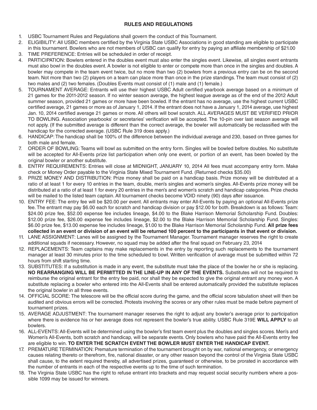#### **RULES AND REGULATIONS**

- 1. USBC Tournament Rules and Regulations shall govern the conduct of this Tournament.
- 2. ELIGIBILITY: All USBC members certified by the Virginia State USBC Associations in good standing are eligible to participate in this tournament. Bowlers who are not members of USBC can qualify for entry by paying an affiliate membership of \$21.00
- 3. TIME PREFERENCE: Entries will be scheduled in order of receipt.
- 4. PARTICIPATION: Bowlers entered in the doubles event must also enter the singles event. Likewise, all singles event entrants must also bowl in the doubles event. A bowler is not eligible to enter or compete more than once in the singles and doubles. A bowler may compete in the team event twice, but no more than two (2) bowlers from a previous entry can be on the second team. Not more than two (2) players on a team can place more than once in the prize standings. The team must consist of (2) two males and (2) two females. (Doubles Events must consist of (1) male and (1) female.)
- 5. TOURNAMENT AVERAGE: Entrants will use their highest USBC Adult certified yearbook average based on a minimum of 21 games for the 2011-2012 season. If no winter season average, the highest league average as of the end of the 2012 Adult summer season, provided 21 games or more have been bowled. If the entrant has no average, use the highest current USBC certified average, 21 games or more as of January 1, 2014. If the entrant does not have a January 1, 2014 average, use highest Jan. 10, 2014 certified average 21 games or more. All others will bowl scratch. ALL AVERAGES MUST BE VERIFIED PRIOR TO BOWLING. Association yearbooks' or secretaries' verification will be accepted. The 10-pin over last season average will not apply. (If the submitted average is different than the correct average, the bowler will automatically be reclassified with the handicap for the corrected average. (USBC Rule 319 does apply.)
- 6. HANDICAP: The handicap shall be 100% of the difference between the individual average and 230, based on three games for both male and female.
- 7. ORDER OF BOWLING: Teams will bowl as submitted on the entry form. Singles will be bowled before doubles. No substitute will be accepted for All-Events prize list participation when only one event, or portion of an event, has been bowled by the original bowler or another substitute.
- 8. ENTRY REQUIREMENTS: Entries will close at MIDNIGHT, JANUARY 10, 2014 All fees must accompany entry form. Make check or Money Order payable to the Virginia State Mixed Tournament Fund. (Returned checks \$35.00)
- 9. PRIZE MONEY AND DISTRIBUTION: Prize money shall be paid on a handicap basis. Prize money will be distributed at a ratio of at least 1 for every 10 entries in the team, double, men's singles and women's singles. All-Events prize money will be distributed at a ratio of at least 1 for every 20 entries in the men's and women's scratch and handicap categories. Prize checks will be mailed to the listed team captain. All tournament checks become VOID ninety (90) days after issuance.
- 10. ENTRY FEE: The entry fee will be \$20.00 per event. All entrants may enter All-Events by paying an optional All-Events prize fee. The entrant may pay \$6.00 each for scratch and handicap division or pay \$12.00 for both. Breakdown is as follows: Team: \$24.00 prize fee, \$52.00 expense fee includes lineage, \$4.00 to the Blake Harrison Memorial Scholarship Fund. Doubles: \$12.00 prize fee, \$26.00 expense fee includes lineage, \$2.00 to the Blake Harrison Memorial Scholarship Fund. Singles: \$6.00 prize fee, \$13.00 expense fee includes lineage, \$1.00 to the Blake Harrison Memorial Scholarship Fund. **All prize fees collected in an event or division of an event will be returned 100 percent to the participants in that event or division.**
- 11. LANE ASSIGNMENT: Lanes will be assigned by the Tournament Manager. Tournament manager reserves the right to create additional squads if necessary. However, no squad may be added after the final squad on February 23, 2014
- 12. REPLACEMENTS: Team captains may make replacements in the entry by reporting such replacements to the tournament manager at least 30 minutes prior to the time scheduled to bowl. Written verification of average must be submitted within 72 hours from shift starting time.
- 13. SUBSTITUTES: If a substitution is made in any event, the substitute must take the place of the bowler he or she is replacing. **NO REARRANGING WILL BE PERMITTED IN THE LINE-UP IN ANY OF THE EVENTS.** Substitutes will not be required to reimburse the original entrant for the entry fee paid, nor shall they be expected to give the original entrant any money won. A substitute replacing a bowler who entered into the All-Events shall be entered automatically provided the substitute replaces the original bowler in all three events.
- 14. OFFICIAL SCORE: The telescore will be the official score during the game, and the official score tabulation sheet will then be audited and obvious errors will be corrected. Protests involving the scores or any other rules must be made before payment of tournament prizes.
- 15. AVERAGE ADJUSTMENT: The tournament manager reserves the right to adjust any bowler's average prior to participation where there is evidence his or her average does not represent the bowler's true ability. USBC Rule 319E **WILL APPLY** to all bowlers.
- 16. ALL-EVENTS: All-Events will be determined using the bowler's first team event plus the doubles and singles scores. Men's and Women's All-Events, both scratch and handicap, will be separate events. Only bowlers who have paid the All-Events entry fee are eligible to win. **TO ENTER THE SCRATCH EVENT THE BOWLER MUST ENTER THE HANDICAP EVENT.**
- 17. PREMATURE TERMINATION: Premature termination of the tournament brought on by war, national emergency, or emergency causes relating thereto or therefrom, fire, national disaster, or any other reason beyond the control of the Virginia State USBC shall cause, to the extent required thereby, all advertised prizes, guaranteed or otherwise, to be prorated in accordance with the number of entrants in each of the respective events up to the time of such termination.
- 18. The Virginia State USBC has the right to refuse entrant into brackets and may request social security numbers where a possible 1099 may be issued for winners.